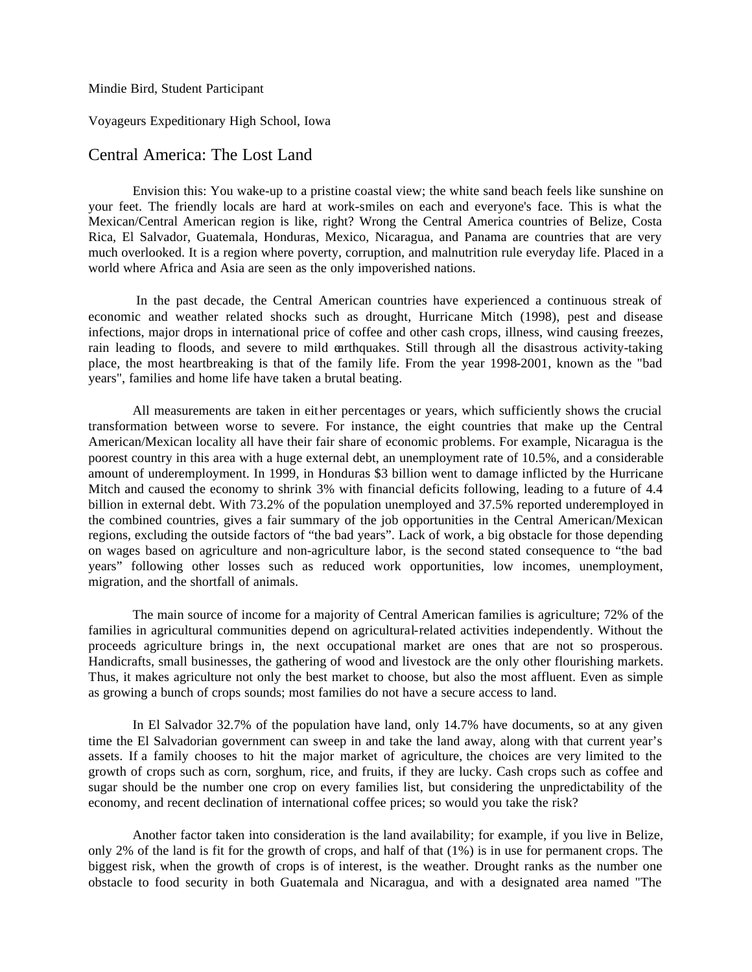Mindie Bird, Student Participant

Voyageurs Expeditionary High School, Iowa

## Central America: The Lost Land

Envision this: You wake-up to a pristine coastal view; the white sand beach feels like sunshine on your feet. The friendly locals are hard at work-smiles on each and everyone's face. This is what the Mexican/Central American region is like, right? Wrong the Central America countries of Belize, Costa Rica, El Salvador, Guatemala, Honduras, Mexico, Nicaragua, and Panama are countries that are very much overlooked. It is a region where poverty, corruption, and malnutrition rule everyday life. Placed in a world where Africa and Asia are seen as the only impoverished nations.

In the past decade, the Central American countries have experienced a continuous streak of economic and weather related shocks such as drought, Hurricane Mitch (1998), pest and disease infections, major drops in international price of coffee and other cash crops, illness, wind causing freezes, rain leading to floods, and severe to mild earthquakes. Still through all the disastrous activity-taking place, the most heartbreaking is that of the family life. From the year 1998-2001, known as the "bad years", families and home life have taken a brutal beating.

All measurements are taken in either percentages or years, which sufficiently shows the crucial transformation between worse to severe. For instance, the eight countries that make up the Central American/Mexican locality all have their fair share of economic problems. For example, Nicaragua is the poorest country in this area with a huge external debt, an unemployment rate of 10.5%, and a considerable amount of underemployment. In 1999, in Honduras \$3 billion went to damage inflicted by the Hurricane Mitch and caused the economy to shrink 3% with financial deficits following, leading to a future of 4.4 billion in external debt. With 73.2% of the population unemployed and 37.5% reported underemployed in the combined countries, gives a fair summary of the job opportunities in the Central American/Mexican regions, excluding the outside factors of "the bad years". Lack of work, a big obstacle for those depending on wages based on agriculture and non-agriculture labor, is the second stated consequence to "the bad years" following other losses such as reduced work opportunities, low incomes, unemployment, migration, and the shortfall of animals.

The main source of income for a majority of Central American families is agriculture; 72% of the families in agricultural communities depend on agricultural-related activities independently. Without the proceeds agriculture brings in, the next occupational market are ones that are not so prosperous. Handicrafts, small businesses, the gathering of wood and livestock are the only other flourishing markets. Thus, it makes agriculture not only the best market to choose, but also the most affluent. Even as simple as growing a bunch of crops sounds; most families do not have a secure access to land.

In El Salvador 32.7% of the population have land, only 14.7% have documents, so at any given time the El Salvadorian government can sweep in and take the land away, along with that current year's assets. If a family chooses to hit the major market of agriculture, the choices are very limited to the growth of crops such as corn, sorghum, rice, and fruits, if they are lucky. Cash crops such as coffee and sugar should be the number one crop on every families list, but considering the unpredictability of the economy, and recent declination of international coffee prices; so would you take the risk?

Another factor taken into consideration is the land availability; for example, if you live in Belize, only 2% of the land is fit for the growth of crops, and half of that (1%) is in use for permanent crops. The biggest risk, when the growth of crops is of interest, is the weather. Drought ranks as the number one obstacle to food security in both Guatemala and Nicaragua, and with a designated area named "The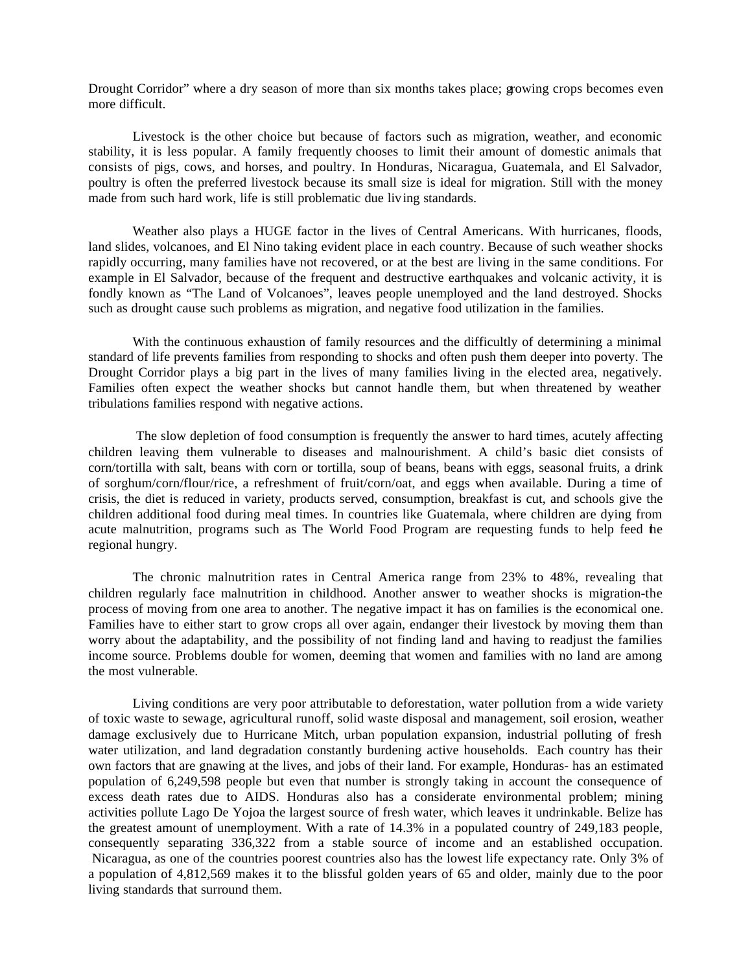Drought Corridor" where a dry season of more than six months takes place; growing crops becomes even more difficult.

Livestock is the other choice but because of factors such as migration, weather, and economic stability, it is less popular. A family frequently chooses to limit their amount of domestic animals that consists of pigs, cows, and horses, and poultry. In Honduras, Nicaragua, Guatemala, and El Salvador, poultry is often the preferred livestock because its small size is ideal for migration. Still with the money made from such hard work, life is still problematic due living standards.

Weather also plays a HUGE factor in the lives of Central Americans. With hurricanes, floods, land slides, volcanoes, and El Nino taking evident place in each country. Because of such weather shocks rapidly occurring, many families have not recovered, or at the best are living in the same conditions. For example in El Salvador, because of the frequent and destructive earthquakes and volcanic activity, it is fondly known as "The Land of Volcanoes", leaves people unemployed and the land destroyed. Shocks such as drought cause such problems as migration, and negative food utilization in the families.

With the continuous exhaustion of family resources and the difficultly of determining a minimal standard of life prevents families from responding to shocks and often push them deeper into poverty. The Drought Corridor plays a big part in the lives of many families living in the elected area, negatively. Families often expect the weather shocks but cannot handle them, but when threatened by weather tribulations families respond with negative actions.

The slow depletion of food consumption is frequently the answer to hard times, acutely affecting children leaving them vulnerable to diseases and malnourishment. A child's basic diet consists of corn/tortilla with salt, beans with corn or tortilla, soup of beans, beans with eggs, seasonal fruits, a drink of sorghum/corn/flour/rice, a refreshment of fruit/corn/oat, and eggs when available. During a time of crisis, the diet is reduced in variety, products served, consumption, breakfast is cut, and schools give the children additional food during meal times. In countries like Guatemala, where children are dying from acute malnutrition, programs such as The World Food Program are requesting funds to help feed the regional hungry.

The chronic malnutrition rates in Central America range from 23% to 48%, revealing that children regularly face malnutrition in childhood. Another answer to weather shocks is migration-the process of moving from one area to another. The negative impact it has on families is the economical one. Families have to either start to grow crops all over again, endanger their livestock by moving them than worry about the adaptability, and the possibility of not finding land and having to readjust the families income source. Problems double for women, deeming that women and families with no land are among the most vulnerable.

Living conditions are very poor attributable to deforestation, water pollution from a wide variety of toxic waste to sewage, agricultural runoff, solid waste disposal and management, soil erosion, weather damage exclusively due to Hurricane Mitch, urban population expansion, industrial polluting of fresh water utilization, and land degradation constantly burdening active households. Each country has their own factors that are gnawing at the lives, and jobs of their land. For example, Honduras- has an estimated population of 6,249,598 people but even that number is strongly taking in account the consequence of excess death rates due to AIDS. Honduras also has a considerate environmental problem; mining activities pollute Lago De Yojoa the largest source of fresh water, which leaves it undrinkable. Belize has the greatest amount of unemployment. With a rate of 14.3% in a populated country of 249,183 people, consequently separating 336,322 from a stable source of income and an established occupation. Nicaragua, as one of the countries poorest countries also has the lowest life expectancy rate. Only 3% of a population of 4,812,569 makes it to the blissful golden years of 65 and older, mainly due to the poor living standards that surround them.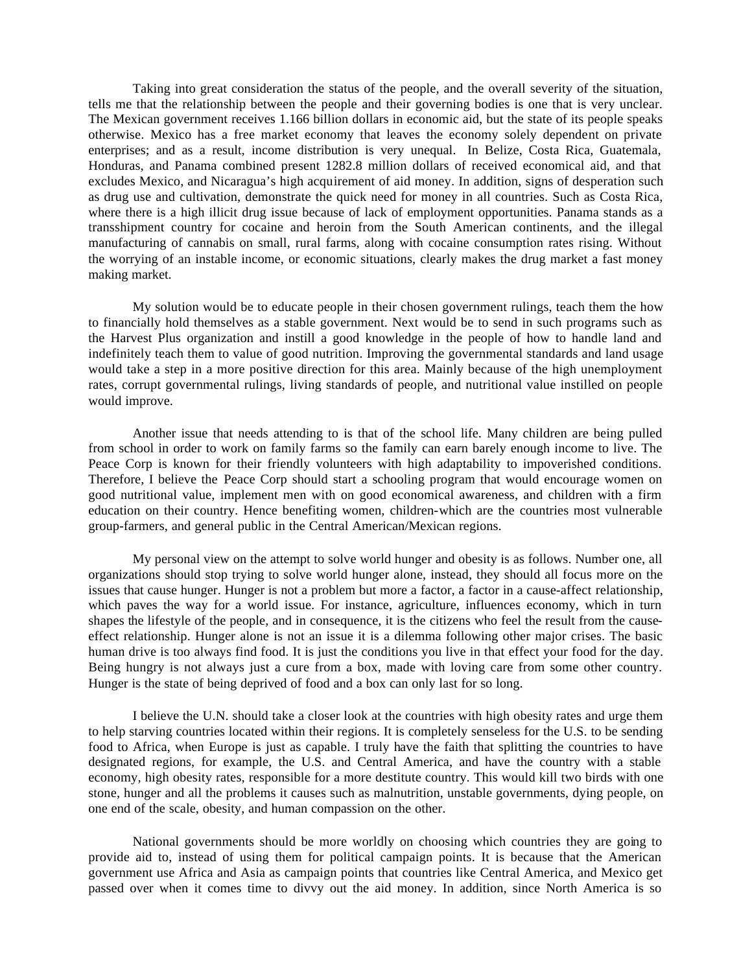Taking into great consideration the status of the people, and the overall severity of the situation, tells me that the relationship between the people and their governing bodies is one that is very unclear. The Mexican government receives 1.166 billion dollars in economic aid, but the state of its people speaks otherwise. Mexico has a free market economy that leaves the economy solely dependent on private enterprises; and as a result, income distribution is very unequal. In Belize, Costa Rica, Guatemala, Honduras, and Panama combined present 1282.8 million dollars of received economical aid, and that excludes Mexico, and Nicaragua's high acquirement of aid money. In addition, signs of desperation such as drug use and cultivation, demonstrate the quick need for money in all countries. Such as Costa Rica, where there is a high illicit drug issue because of lack of employment opportunities. Panama stands as a transshipment country for cocaine and heroin from the South American continents, and the illegal manufacturing of cannabis on small, rural farms, along with cocaine consumption rates rising. Without the worrying of an instable income, or economic situations, clearly makes the drug market a fast money making market.

My solution would be to educate people in their chosen government rulings, teach them the how to financially hold themselves as a stable government. Next would be to send in such programs such as the Harvest Plus organization and instill a good knowledge in the people of how to handle land and indefinitely teach them to value of good nutrition. Improving the governmental standards and land usage would take a step in a more positive direction for this area. Mainly because of the high unemployment rates, corrupt governmental rulings, living standards of people, and nutritional value instilled on people would improve.

Another issue that needs attending to is that of the school life. Many children are being pulled from school in order to work on family farms so the family can earn barely enough income to live. The Peace Corp is known for their friendly volunteers with high adaptability to impoverished conditions. Therefore, I believe the Peace Corp should start a schooling program that would encourage women on good nutritional value, implement men with on good economical awareness, and children with a firm education on their country. Hence benefiting women, children-which are the countries most vulnerable group-farmers, and general public in the Central American/Mexican regions.

My personal view on the attempt to solve world hunger and obesity is as follows. Number one, all organizations should stop trying to solve world hunger alone, instead, they should all focus more on the issues that cause hunger. Hunger is not a problem but more a factor, a factor in a cause-affect relationship, which paves the way for a world issue. For instance, agriculture, influences economy, which in turn shapes the lifestyle of the people, and in consequence, it is the citizens who feel the result from the causeeffect relationship. Hunger alone is not an issue it is a dilemma following other major crises. The basic human drive is too always find food. It is just the conditions you live in that effect your food for the day. Being hungry is not always just a cure from a box, made with loving care from some other country. Hunger is the state of being deprived of food and a box can only last for so long.

I believe the U.N. should take a closer look at the countries with high obesity rates and urge them to help starving countries located within their regions. It is completely senseless for the U.S. to be sending food to Africa, when Europe is just as capable. I truly have the faith that splitting the countries to have designated regions, for example, the U.S. and Central America, and have the country with a stable economy, high obesity rates, responsible for a more destitute country. This would kill two birds with one stone, hunger and all the problems it causes such as malnutrition, unstable governments, dying people, on one end of the scale, obesity, and human compassion on the other.

National governments should be more worldly on choosing which countries they are going to provide aid to, instead of using them for political campaign points. It is because that the American government use Africa and Asia as campaign points that countries like Central America, and Mexico get passed over when it comes time to divvy out the aid money. In addition, since North America is so